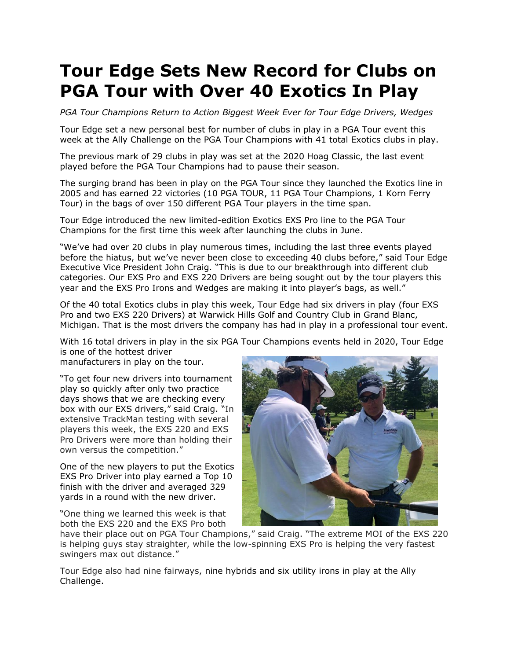## **Tour Edge Sets New Record for Clubs on PGA Tour with Over 40 Exotics In Play**

*PGA Tour Champions Return to Action Biggest Week Ever for Tour Edge Drivers, Wedges* 

Tour Edge set a new personal best for number of clubs in play in a PGA Tour event this week at the Ally Challenge on the PGA Tour Champions with 41 total Exotics clubs in play.

The previous mark of 29 clubs in play was set at the 2020 Hoag Classic, the last event played before the PGA Tour Champions had to pause their season.

The surging brand has been in play on the PGA Tour since they launched the Exotics line in 2005 and has earned 22 victories (10 PGA TOUR, 11 PGA Tour Champions, 1 Korn Ferry Tour) in the bags of over 150 different PGA Tour players in the time span.

Tour Edge introduced the new limited-edition Exotics EXS Pro line to the PGA Tour Champions for the first time this week after launching the clubs in June.

"We've had over 20 clubs in play numerous times, including the last three events played before the hiatus, but we've never been close to exceeding 40 clubs before," said Tour Edge Executive Vice President John Craig. "This is due to our breakthrough into different club categories. Our EXS Pro and EXS 220 Drivers are being sought out by the tour players this year and the EXS Pro Irons and Wedges are making it into player's bags, as well."

Of the 40 total Exotics clubs in play this week, Tour Edge had six drivers in play (four EXS Pro and two EXS 220 Drivers) at Warwick Hills Golf and Country Club in Grand Blanc, Michigan. That is the most drivers the company has had in play in a professional tour event.

With 16 total drivers in play in the six PGA Tour Champions events held in 2020, Tour Edge is one of the hottest driver

manufacturers in play on the tour.

"To get four new drivers into tournament play so quickly after only two practice days shows that we are checking every box with our EXS drivers," said Craig. "In extensive TrackMan testing with several players this week, the EXS 220 and EXS Pro Drivers were more than holding their own versus the competition."

One of the new players to put the Exotics EXS Pro Driver into play earned a Top 10 finish with the driver and averaged 329 yards in a round with the new driver.

"One thing we learned this week is that both the EXS 220 and the EXS Pro both



have their place out on PGA Tour Champions," said Craig. "The extreme MOI of the EXS 220 is helping guys stay straighter, while the low-spinning EXS Pro is helping the very fastest swingers max out distance."

Tour Edge also had nine fairways, nine hybrids and six utility irons in play at the Ally Challenge.